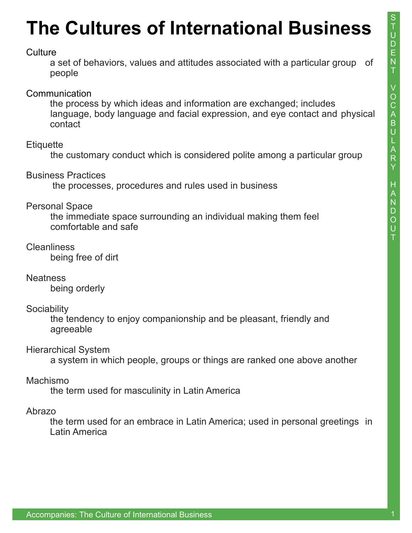# **The Cultures of International Business**

#### **Culture**

a set of behaviors, values and attitudes associated with a particular group of people

### **Communication**

the process by which ideas and information are exchanged; includes language, body language and facial expression, and eye contact and physical contact

#### **Etiquette**

the customary conduct which is considered polite among a particular group

Business Practices

the processes, procedures and rules used in business

#### Personal Space

 the immediate space surrounding an individual making them feel comfortable and safe

### **Cleanliness**

being free of dirt

**Neatness** 

being orderly

#### **Sociability**

 the tendency to enjoy companionship and be pleasant, friendly and agreeable

### Hierarchical System

a system in which people, groups or things are ranked one above another

### Machismo

the term used for masculinity in Latin America

#### Abrazo

 the term used for an embrace in Latin America; used in personal greetings in Latin America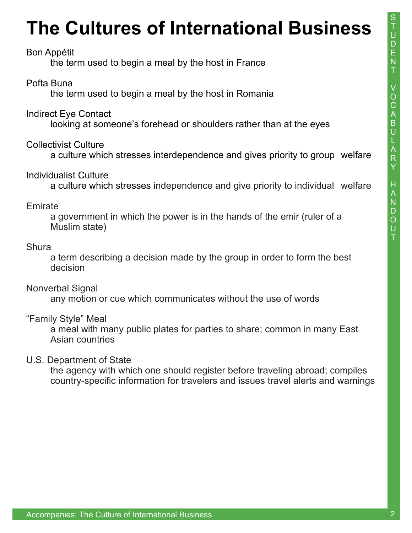# **The Cultures of International Business**

### Bon Appétit

the term used to begin a meal by the host in France

## Pofta Buna

the term used to begin a meal by the host in Romania

## Indirect Eye Contact

looking at someone's forehead or shoulders rather than at the eyes

## Collectivist Culture

a culture which stresses interdependence and gives priority to group welfare

## Individualist Culture

a culture which stresses independence and give priority to individual welfare

### **Emirate**

 a government in which the power is in the hands of the emir (ruler of a Muslim state)

### **Shura**

 a term describing a decision made by the group in order to form the best decision

## Nonverbal Signal

any motion or cue which communicates without the use of words

## "Family Style" Meal

 a meal with many public plates for parties to share; common in many East Asian countries

## U.S. Department of State

 the agency with which one should register before traveling abroad; compiles country-specific information for travelers and issues travel alerts and warnings